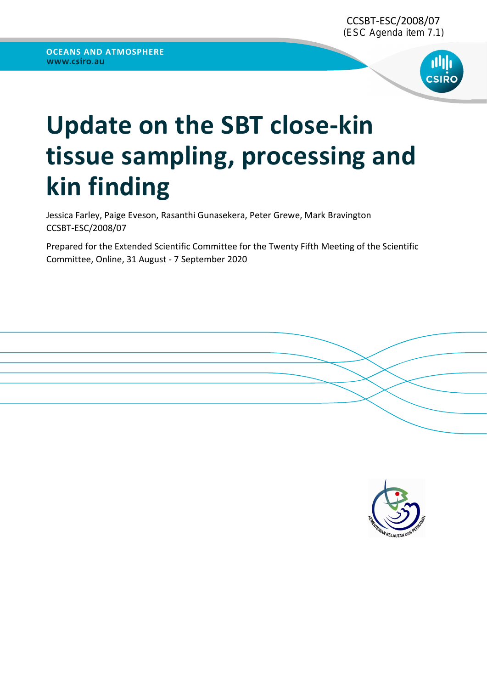

# Update on the SBT close-kin tissue sampling, processing and kin finding

Jessica Farley, Paige Eveson, Rasanthi Gunasekera, Peter Grewe, Mark Bravington CCSBT-ESC/2008/07

Prepared for the Extended Scientific Committee for the Twenty Fifth Meeting of the Scientific Committee, Online, 31 August - 7 September 2020

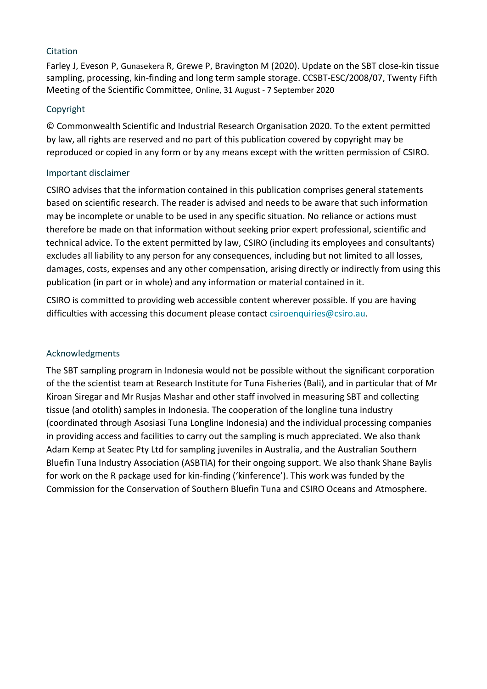### **Citation**

Farley J, Eveson P, Gunasekera R, Grewe P, Bravington M (2020). Update on the SBT close-kin tissue sampling, processing, kin-finding and long term sample storage. CCSBT-ESC/2008/07, Twenty Fifth Meeting of the Scientific Committee, Online, 31 August - 7 September 2020

#### Copyright

© Commonwealth Scientific and Industrial Research Organisation 2020. To the extent permitted by law, all rights are reserved and no part of this publication covered by copyright may be reproduced or copied in any form or by any means except with the written permission of CSIRO.

#### Important disclaimer

CSIRO advises that the information contained in this publication comprises general statements based on scientific research. The reader is advised and needs to be aware that such information may be incomplete or unable to be used in any specific situation. No reliance or actions must therefore be made on that information without seeking prior expert professional, scientific and technical advice. To the extent permitted by law, CSIRO (including its employees and consultants) excludes all liability to any person for any consequences, including but not limited to all losses, damages, costs, expenses and any other compensation, arising directly or indirectly from using this publication (in part or in whole) and any information or material contained in it.

CSIRO is committed to providing web accessible content wherever possible. If you are having difficulties with accessing this document please contact csiroenquiries@csiro.au.

#### Acknowledgments

The SBT sampling program in Indonesia would not be possible without the significant corporation of the the scientist team at Research Institute for Tuna Fisheries (Bali), and in particular that of Mr Kiroan Siregar and Mr Rusjas Mashar and other staff involved in measuring SBT and collecting tissue (and otolith) samples in Indonesia. The cooperation of the longline tuna industry (coordinated through Asosiasi Tuna Longline Indonesia) and the individual processing companies in providing access and facilities to carry out the sampling is much appreciated. We also thank Adam Kemp at Seatec Pty Ltd for sampling juveniles in Australia, and the Australian Southern Bluefin Tuna Industry Association (ASBTIA) for their ongoing support. We also thank Shane Baylis for work on the R package used for kin-finding ('kinference'). This work was funded by the Commission for the Conservation of Southern Bluefin Tuna and CSIRO Oceans and Atmosphere.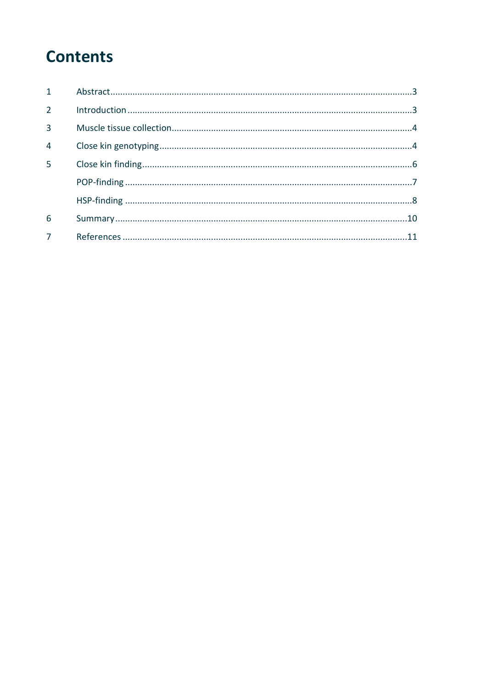### **Contents**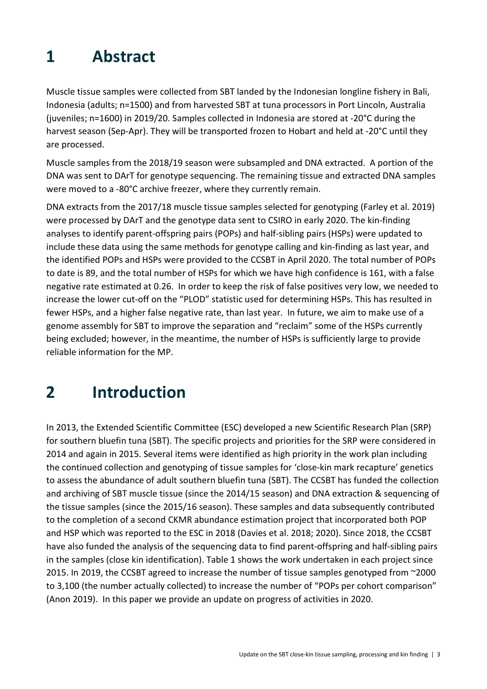### 1 Abstract

Muscle tissue samples were collected from SBT landed by the Indonesian longline fishery in Bali, Indonesia (adults; n=1500) and from harvested SBT at tuna processors in Port Lincoln, Australia (juveniles; n=1600) in 2019/20. Samples collected in Indonesia are stored at -20°C during the harvest season (Sep-Apr). They will be transported frozen to Hobart and held at -20°C until they are processed.

Muscle samples from the 2018/19 season were subsampled and DNA extracted. A portion of the DNA was sent to DArT for genotype sequencing. The remaining tissue and extracted DNA samples were moved to a -80°C archive freezer, where they currently remain.

DNA extracts from the 2017/18 muscle tissue samples selected for genotyping (Farley et al. 2019) were processed by DArT and the genotype data sent to CSIRO in early 2020. The kin-finding analyses to identify parent-offspring pairs (POPs) and half-sibling pairs (HSPs) were updated to include these data using the same methods for genotype calling and kin-finding as last year, and the identified POPs and HSPs were provided to the CCSBT in April 2020. The total number of POPs to date is 89, and the total number of HSPs for which we have high confidence is 161, with a false negative rate estimated at 0.26. In order to keep the risk of false positives very low, we needed to increase the lower cut-off on the "PLOD" statistic used for determining HSPs. This has resulted in fewer HSPs, and a higher false negative rate, than last year. In future, we aim to make use of a genome assembly for SBT to improve the separation and "reclaim" some of the HSPs currently being excluded; however, in the meantime, the number of HSPs is sufficiently large to provide reliable information for the MP.

## 2 Introduction

In 2013, the Extended Scientific Committee (ESC) developed a new Scientific Research Plan (SRP) for southern bluefin tuna (SBT). The specific projects and priorities for the SRP were considered in 2014 and again in 2015. Several items were identified as high priority in the work plan including the continued collection and genotyping of tissue samples for 'close-kin mark recapture' genetics to assess the abundance of adult southern bluefin tuna (SBT). The CCSBT has funded the collection and archiving of SBT muscle tissue (since the 2014/15 season) and DNA extraction & sequencing of the tissue samples (since the 2015/16 season). These samples and data subsequently contributed to the completion of a second CKMR abundance estimation project that incorporated both POP and HSP which was reported to the ESC in 2018 (Davies et al. 2018; 2020). Since 2018, the CCSBT have also funded the analysis of the sequencing data to find parent-offspring and half-sibling pairs in the samples (close kin identification). Table 1 shows the work undertaken in each project since 2015. In 2019, the CCSBT agreed to increase the number of tissue samples genotyped from ~2000 to 3,100 (the number actually collected) to increase the number of "POPs per cohort comparison" (Anon 2019). In this paper we provide an update on progress of activities in 2020.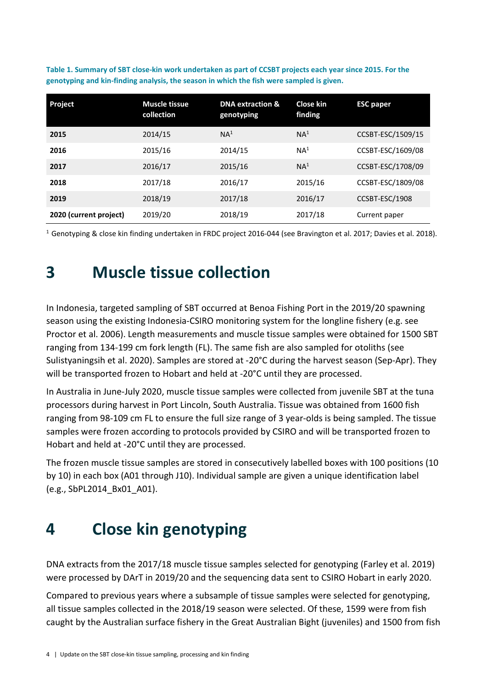| Project                | <b>Muscle tissue</b><br>collection | <b>DNA extraction &amp;</b><br>genotyping | Close kin<br>finding | <b>ESC paper</b>  |
|------------------------|------------------------------------|-------------------------------------------|----------------------|-------------------|
| 2015                   | 2014/15                            | NA <sup>1</sup>                           | NA <sup>1</sup>      | CCSBT-ESC/1509/15 |
| 2016                   | 2015/16                            | 2014/15                                   | NA <sup>1</sup>      | CCSBT-ESC/1609/08 |
| 2017                   | 2016/17                            | 2015/16                                   | NA <sup>1</sup>      | CCSBT-ESC/1708/09 |
| 2018                   | 2017/18                            | 2016/17                                   | 2015/16              | CCSBT-ESC/1809/08 |
| 2019                   | 2018/19                            | 2017/18                                   | 2016/17              | CCSBT-ESC/1908    |
| 2020 (current project) | 2019/20                            | 2018/19                                   | 2017/18              | Current paper     |

Table 1. Summary of SBT close-kin work undertaken as part of CCSBT projects each year since 2015. For the genotyping and kin-finding analysis, the season in which the fish were sampled is given.

<sup>1</sup> Genotyping & close kin finding undertaken in FRDC project 2016-044 (see Bravington et al. 2017; Davies et al. 2018).

## 3 Muscle tissue collection

In Indonesia, targeted sampling of SBT occurred at Benoa Fishing Port in the 2019/20 spawning season using the existing Indonesia-CSIRO monitoring system for the longline fishery (e.g. see Proctor et al. 2006). Length measurements and muscle tissue samples were obtained for 1500 SBT ranging from 134-199 cm fork length (FL). The same fish are also sampled for otoliths (see Sulistyaningsih et al. 2020). Samples are stored at -20°C during the harvest season (Sep-Apr). They will be transported frozen to Hobart and held at -20°C until they are processed.

In Australia in June-July 2020, muscle tissue samples were collected from juvenile SBT at the tuna processors during harvest in Port Lincoln, South Australia. Tissue was obtained from 1600 fish ranging from 98-109 cm FL to ensure the full size range of 3 year-olds is being sampled. The tissue samples were frozen according to protocols provided by CSIRO and will be transported frozen to Hobart and held at -20°C until they are processed.

The frozen muscle tissue samples are stored in consecutively labelled boxes with 100 positions (10 by 10) in each box (A01 through J10). Individual sample are given a unique identification label (e.g., SbPL2014\_Bx01\_A01).

# 4 Close kin genotyping

DNA extracts from the 2017/18 muscle tissue samples selected for genotyping (Farley et al. 2019) were processed by DArT in 2019/20 and the sequencing data sent to CSIRO Hobart in early 2020.

Compared to previous years where a subsample of tissue samples were selected for genotyping, all tissue samples collected in the 2018/19 season were selected. Of these, 1599 were from fish caught by the Australian surface fishery in the Great Australian Bight (juveniles) and 1500 from fish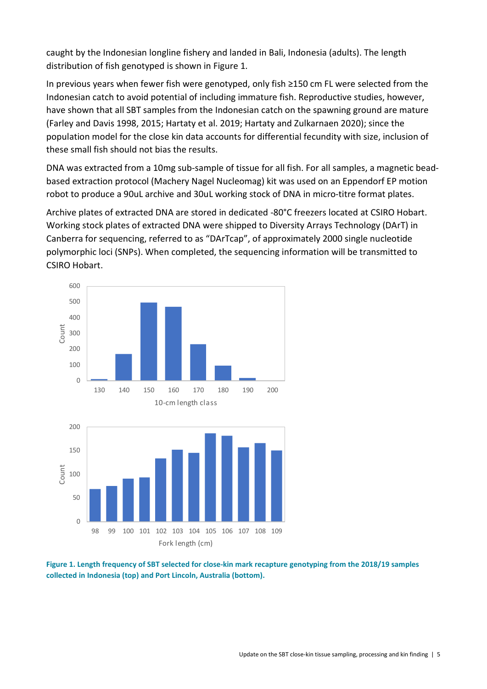caught by the Indonesian longline fishery and landed in Bali, Indonesia (adults). The length distribution of fish genotyped is shown in Figure 1.

In previous years when fewer fish were genotyped, only fish ≥150 cm FL were selected from the Indonesian catch to avoid potential of including immature fish. Reproductive studies, however, have shown that all SBT samples from the Indonesian catch on the spawning ground are mature (Farley and Davis 1998, 2015; Hartaty et al. 2019; Hartaty and Zulkarnaen 2020); since the population model for the close kin data accounts for differential fecundity with size, inclusion of these small fish should not bias the results.

DNA was extracted from a 10mg sub-sample of tissue for all fish. For all samples, a magnetic beadbased extraction protocol (Machery Nagel Nucleomag) kit was used on an Eppendorf EP motion robot to produce a 90uL archive and 30uL working stock of DNA in micro-titre format plates.

Archive plates of extracted DNA are stored in dedicated -80°C freezers located at CSIRO Hobart. Working stock plates of extracted DNA were shipped to Diversity Arrays Technology (DArT) in Canberra for sequencing, referred to as "DArTcap", of approximately 2000 single nucleotide polymorphic loci (SNPs). When completed, the sequencing information will be transmitted to CSIRO Hobart.



Figure 1. Length frequency of SBT selected for close-kin mark recapture genotyping from the 2018/19 samples collected in Indonesia (top) and Port Lincoln, Australia (bottom).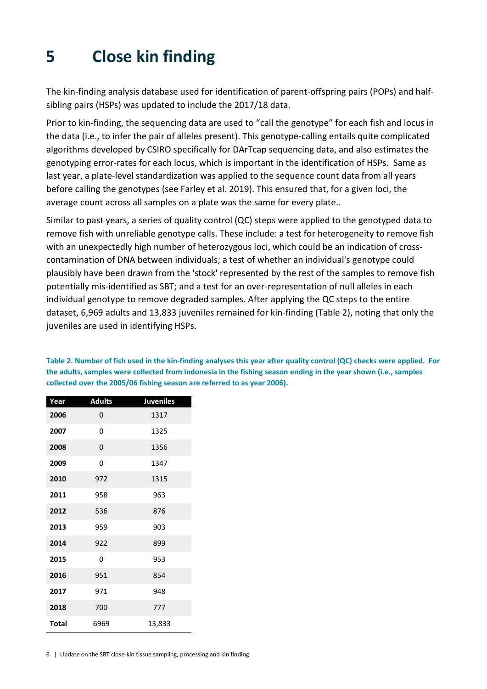## 5 Close kin finding

The kin-finding analysis database used for identification of parent-offspring pairs (POPs) and halfsibling pairs (HSPs) was updated to include the 2017/18 data.

Prior to kin-finding, the sequencing data are used to "call the genotype" for each fish and locus in the data (i.e., to infer the pair of alleles present). This genotype-calling entails quite complicated algorithms developed by CSIRO specifically for DArTcap sequencing data, and also estimates the genotyping error-rates for each locus, which is important in the identification of HSPs. Same as last year, a plate-level standardization was applied to the sequence count data from all years before calling the genotypes (see Farley et al. 2019). This ensured that, for a given loci, the average count across all samples on a plate was the same for every plate..

Similar to past years, a series of quality control (QC) steps were applied to the genotyped data to remove fish with unreliable genotype calls. These include: a test for heterogeneity to remove fish with an unexpectedly high number of heterozygous loci, which could be an indication of crosscontamination of DNA between individuals; a test of whether an individual's genotype could plausibly have been drawn from the 'stock' represented by the rest of the samples to remove fish potentially mis-identified as SBT; and a test for an over-representation of null alleles in each individual genotype to remove degraded samples. After applying the QC steps to the entire dataset, 6,969 adults and 13,833 juveniles remained for kin-finding (Table 2), noting that only the juveniles are used in identifying HSPs.

Table 2. Number of fish used in the kin-finding analyses this year after quality control (QC) checks were applied. For the adults, samples were collected from Indonesia in the fishing season ending in the year shown (i.e., samples collected over the 2005/06 fishing season are referred to as year 2006).

| Year         | <b>Adults</b> | <b>Juveniles</b> |
|--------------|---------------|------------------|
| 2006         | 0             | 1317             |
| 2007         | 0             | 1325             |
| 2008         | 0             | 1356             |
| 2009         | 0             | 1347             |
| 2010         | 972           | 1315             |
| 2011         | 958           | 963              |
| 2012         | 536           | 876              |
| 2013         | 959           | 903              |
| 2014         | 922           | 899              |
| 2015         | 0             | 953              |
| 2016         | 951           | 854              |
| 2017         | 971           | 948              |
| 2018         | 700           | 777              |
| <b>Total</b> | 6969          | 13,833           |

6 | Update on the SBT close-kin tissue sampling, processing and kin finding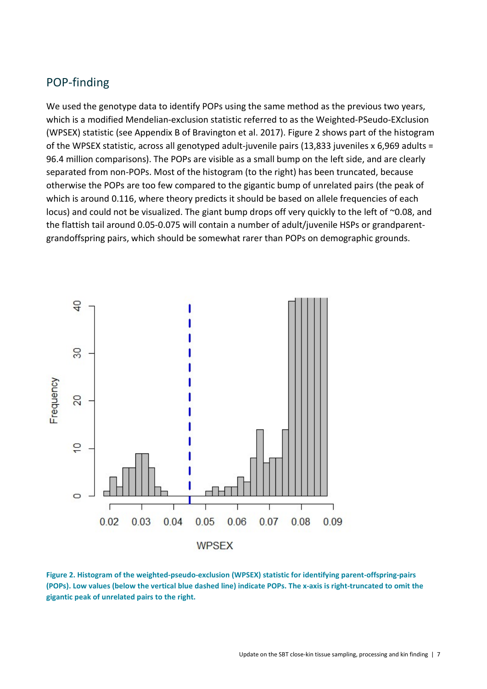### POP-finding

We used the genotype data to identify POPs using the same method as the previous two years, which is a modified Mendelian-exclusion statistic referred to as the Weighted-PSeudo-EXclusion (WPSEX) statistic (see Appendix B of Bravington et al. 2017). Figure 2 shows part of the histogram of the WPSEX statistic, across all genotyped adult-juvenile pairs (13,833 juveniles x 6,969 adults = 96.4 million comparisons). The POPs are visible as a small bump on the left side, and are clearly separated from non-POPs. Most of the histogram (to the right) has been truncated, because otherwise the POPs are too few compared to the gigantic bump of unrelated pairs (the peak of which is around 0.116, where theory predicts it should be based on allele frequencies of each locus) and could not be visualized. The giant bump drops off very quickly to the left of ~0.08, and the flattish tail around 0.05-0.075 will contain a number of adult/juvenile HSPs or grandparentgrandoffspring pairs, which should be somewhat rarer than POPs on demographic grounds.



Figure 2. Histogram of the weighted-pseudo-exclusion (WPSEX) statistic for identifying parent-offspring-pairs (POPs). Low values (below the vertical blue dashed line) indicate POPs. The x-axis is right-truncated to omit the gigantic peak of unrelated pairs to the right.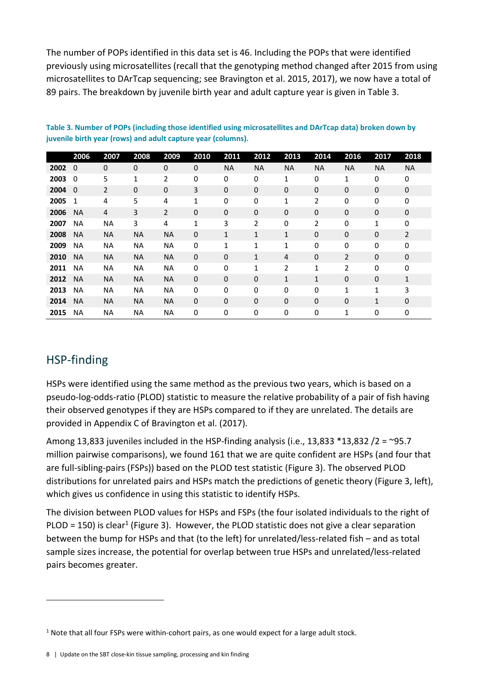The number of POPs identified in this data set is 46. Including the POPs that were identified previously using microsatellites (recall that the genotyping method changed after 2015 from using microsatellites to DArTcap sequencing; see Bravington et al. 2015, 2017), we now have a total of 89 pairs. The breakdown by juvenile birth year and adult capture year is given in Table 3.

|      | 2006      | 2007        | 2008        | 2009           | 2010         | 2011         | 2012        | 2013         | 2014         | 2016      | 2017         | 2018           |
|------|-----------|-------------|-------------|----------------|--------------|--------------|-------------|--------------|--------------|-----------|--------------|----------------|
| 2002 | $\Omega$  | $\mathbf 0$ | $\mathbf 0$ | 0              | $\mathbf 0$  | <b>NA</b>    | <b>NA</b>   | <b>NA</b>    | <b>NA</b>    | <b>NA</b> | <b>NA</b>    | <b>NA</b>      |
| 2003 | $\Omega$  | 5           | 1           | 2              | 0            | 0            | 0           | 1            | 0            | 1         | 0            | 0              |
| 2004 | $\Omega$  | 2           | $\mathbf 0$ | 0              | 3            | $\mathbf 0$  | 0           | 0            | $\mathbf 0$  | 0         | 0            | 0              |
| 2005 | 1         | 4           | 5           | 4              | $\mathbf{1}$ | 0            | 0           | 1            | 2            | 0         | 0            | 0              |
| 2006 | <b>NA</b> | 4           | 3           | $\overline{2}$ | $\mathbf 0$  | 0            | $\mathbf 0$ | $\mathbf 0$  | $\mathbf 0$  | 0         | $\mathbf 0$  | 0              |
| 2007 | <b>NA</b> | ΝA          | 3           | 4              | 1            | 3            | 2           | 0            | 2            | 0         | 1            | 0              |
| 2008 | <b>NA</b> | <b>NA</b>   | <b>NA</b>   | <b>NA</b>      | $\mathbf 0$  | $\mathbf{1}$ | 1           | $\mathbf{1}$ | $\mathbf 0$  | 0         | $\mathbf 0$  | $\overline{2}$ |
| 2009 | <b>NA</b> | <b>NA</b>   | NA          | <b>NA</b>      | 0            | 1            | 1           | $\mathbf{1}$ | 0            | 0         | 0            | 0              |
| 2010 | <b>NA</b> | <b>NA</b>   | <b>NA</b>   | <b>NA</b>      | $\mathbf{0}$ | $\mathbf 0$  | 1           | 4            | $\mathbf 0$  | 2         | $\mathbf 0$  | 0              |
| 2011 | <b>NA</b> | <b>NA</b>   | <b>NA</b>   | <b>NA</b>      | 0            | 0            | 1           | 2            | 1            | 2         | $\mathbf 0$  | 0              |
| 2012 | <b>NA</b> | <b>NA</b>   | <b>NA</b>   | <b>NA</b>      | $\mathbf 0$  | 0            | 0           | $\mathbf{1}$ | $\mathbf{1}$ | 0         | 0            | $\mathbf{1}$   |
| 2013 | <b>NA</b> | <b>NA</b>   | <b>NA</b>   | <b>NA</b>      | 0            | 0            | 0           | 0            | 0            | 1         | 1            | 3              |
| 2014 | <b>NA</b> | <b>NA</b>   | <b>NA</b>   | <b>NA</b>      | 0            | $\mathbf 0$  | 0           | 0            | $\mathbf 0$  | 0         | $\mathbf{1}$ | 0              |
| 2015 | <b>NA</b> | <b>NA</b>   | NA          | NA             | 0            | 0            | 0           | 0            | 0            | 1         | 0            | 0              |

Table 3. Number of POPs (including those identified using microsatellites and DArTcap data) broken down by juvenile birth year (rows) and adult capture year (columns).

### HSP-finding

HSPs were identified using the same method as the previous two years, which is based on a pseudo-log-odds-ratio (PLOD) statistic to measure the relative probability of a pair of fish having their observed genotypes if they are HSPs compared to if they are unrelated. The details are provided in Appendix C of Bravington et al. (2017).

Among 13,833 juveniles included in the HSP-finding analysis (i.e., 13,833  $*$ 13,832 /2 = ~95.7 million pairwise comparisons), we found 161 that we are quite confident are HSPs (and four that are full-sibling-pairs (FSPs)) based on the PLOD test statistic (Figure 3). The observed PLOD distributions for unrelated pairs and HSPs match the predictions of genetic theory (Figure 3, left), which gives us confidence in using this statistic to identify HSPs.

The division between PLOD values for HSPs and FSPs (the four isolated individuals to the right of PLOD = 150) is clear<sup>1</sup> (Figure 3). However, the PLOD statistic does not give a clear separation between the bump for HSPs and that (to the left) for unrelated/less-related fish – and as total sample sizes increase, the potential for overlap between true HSPs and unrelated/less-related pairs becomes greater.

 $<sup>1</sup>$  Note that all four FSPs were within-cohort pairs, as one would expect for a large adult stock.</sup>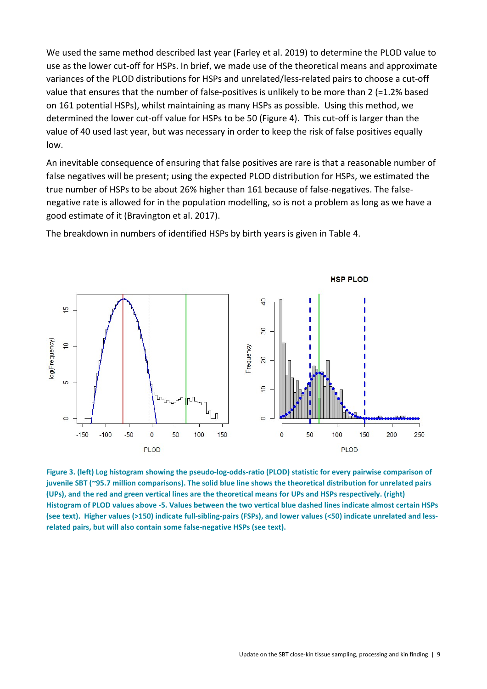We used the same method described last year (Farley et al. 2019) to determine the PLOD value to use as the lower cut-off for HSPs. In brief, we made use of the theoretical means and approximate variances of the PLOD distributions for HSPs and unrelated/less-related pairs to choose a cut-off value that ensures that the number of false-positives is unlikely to be more than 2 (=1.2% based on 161 potential HSPs), whilst maintaining as many HSPs as possible. Using this method, we determined the lower cut-off value for HSPs to be 50 (Figure 4). This cut-off is larger than the value of 40 used last year, but was necessary in order to keep the risk of false positives equally low.

An inevitable consequence of ensuring that false positives are rare is that a reasonable number of false negatives will be present; using the expected PLOD distribution for HSPs, we estimated the true number of HSPs to be about 26% higher than 161 because of false-negatives. The falsenegative rate is allowed for in the population modelling, so is not a problem as long as we have a good estimate of it (Bravington et al. 2017).

The breakdown in numbers of identified HSPs by birth years is given in Table 4.



Figure 3. (left) Log histogram showing the pseudo-log-odds-ratio (PLOD) statistic for every pairwise comparison of juvenile SBT (~95.7 million comparisons). The solid blue line shows the theoretical distribution for unrelated pairs (UPs), and the red and green vertical lines are the theoretical means for UPs and HSPs respectively. (right) Histogram of PLOD values above -5. Values between the two vertical blue dashed lines indicate almost certain HSPs (see text). Higher values (>150) indicate full-sibling-pairs (FSPs), and lower values (<50) indicate unrelated and lessrelated pairs, but will also contain some false-negative HSPs (see text).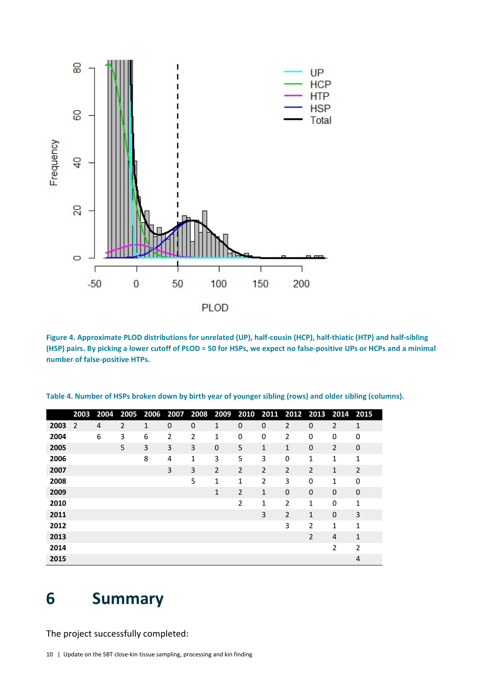

Figure 4. Approximate PLOD distributions for unrelated (UP), half-cousin (HCP), half-thiatic (HTP) and half-sibling (HSP) pairs. By picking a lower cutoff of PLOD = 50 for HSPs, we expect no false-positive UPs or HCPs and a minimal number of false-positive HTPs.

|      | 2003 | 2004 |                |   |             |                |             |                |                |                | 2005 2006 2007 2008 2009 2010 2011 2012 2013 2014 2015 |                |                |
|------|------|------|----------------|---|-------------|----------------|-------------|----------------|----------------|----------------|--------------------------------------------------------|----------------|----------------|
| 2003 | 2    | 4    | $\overline{2}$ | 1 | $\mathbf 0$ | 0              | 1           | 0              | $\mathbf 0$    | $\overline{2}$ | 0                                                      | $\overline{2}$ | $\mathbf{1}$   |
| 2004 |      | 6    | 3              | 6 | 2           | $\overline{2}$ | 1           | 0              | 0              | 2              | 0                                                      | 0              | 0              |
| 2005 |      |      | 5              | 3 | 3           | 3              | $\mathbf 0$ | 5              | $\mathbf{1}$   | $\mathbf{1}$   | $\mathbf 0$                                            | $\overline{2}$ | 0              |
| 2006 |      |      |                | 8 | 4           | 1              | 3           | 5              | 3              | $\mathbf 0$    | 1                                                      | 1              | $\mathbf{1}$   |
| 2007 |      |      |                |   | 3           | 3              | 2           | $\overline{2}$ | 2              | 2              | $\overline{2}$                                         | 1              | $\overline{2}$ |
| 2008 |      |      |                |   |             | 5              | 1           | 1              | $\overline{2}$ | 3              | 0                                                      | 1              | 0              |
| 2009 |      |      |                |   |             |                | 1           | $\overline{2}$ | 1              | 0              | $\mathbf 0$                                            | 0              | 0              |
| 2010 |      |      |                |   |             |                |             | 2              | $\mathbf{1}$   | $\overline{2}$ | $\mathbf{1}$                                           | 0              | 1              |
| 2011 |      |      |                |   |             |                |             |                | 3              | $\overline{2}$ | $\mathbf{1}$                                           | 0              | 3              |
| 2012 |      |      |                |   |             |                |             |                |                | 3              | 2                                                      | 1              | $\mathbf{1}$   |
| 2013 |      |      |                |   |             |                |             |                |                |                | 2                                                      | 4              | $\mathbf{1}$   |
| 2014 |      |      |                |   |             |                |             |                |                |                |                                                        | 2              | $\overline{2}$ |
| 2015 |      |      |                |   |             |                |             |                |                |                |                                                        |                | $\overline{4}$ |

Table 4. Number of HSPs broken down by birth year of younger sibling (rows) and older sibling (columns).

### Summary

The project successfully completed: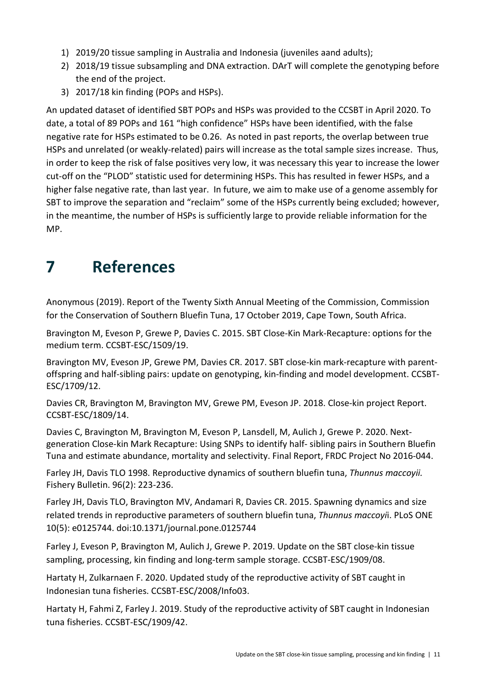- 1) 2019/20 tissue sampling in Australia and Indonesia (juveniles aand adults);
- 2) 2018/19 tissue subsampling and DNA extraction. DArT will complete the genotyping before the end of the project.
- 3) 2017/18 kin finding (POPs and HSPs).

An updated dataset of identified SBT POPs and HSPs was provided to the CCSBT in April 2020. To date, a total of 89 POPs and 161 "high confidence" HSPs have been identified, with the false negative rate for HSPs estimated to be 0.26. As noted in past reports, the overlap between true HSPs and unrelated (or weakly-related) pairs will increase as the total sample sizes increase. Thus, in order to keep the risk of false positives very low, it was necessary this year to increase the lower cut-off on the "PLOD" statistic used for determining HSPs. This has resulted in fewer HSPs, and a higher false negative rate, than last year. In future, we aim to make use of a genome assembly for SBT to improve the separation and "reclaim" some of the HSPs currently being excluded; however, in the meantime, the number of HSPs is sufficiently large to provide reliable information for the MP.

### 7 References

Anonymous (2019). Report of the Twenty Sixth Annual Meeting of the Commission, Commission for the Conservation of Southern Bluefin Tuna, 17 October 2019, Cape Town, South Africa.

Bravington M, Eveson P, Grewe P, Davies C. 2015. SBT Close-Kin Mark-Recapture: options for the medium term. CCSBT-ESC/1509/19.

Bravington MV, Eveson JP, Grewe PM, Davies CR. 2017. SBT close-kin mark-recapture with parentoffspring and half-sibling pairs: update on genotyping, kin-finding and model development. CCSBT-ESC/1709/12.

Davies CR, Bravington M, Bravington MV, Grewe PM, Eveson JP. 2018. Close-kin project Report. CCSBT-ESC/1809/14.

Davies C, Bravington M, Bravington M, Eveson P, Lansdell, M, Aulich J, Grewe P. 2020. Nextgeneration Close-kin Mark Recapture: Using SNPs to identify half- sibling pairs in Southern Bluefin Tuna and estimate abundance, mortality and selectivity. Final Report, FRDC Project No 2016-044.

Farley JH, Davis TLO 1998. Reproductive dynamics of southern bluefin tuna, Thunnus maccoyii. Fishery Bulletin. 96(2): 223-236.

Farley JH, Davis TLO, Bravington MV, Andamari R, Davies CR. 2015. Spawning dynamics and size related trends in reproductive parameters of southern bluefin tuna, Thunnus maccoyii. PLoS ONE 10(5): e0125744. doi:10.1371/journal.pone.0125744

Farley J, Eveson P, Bravington M, Aulich J, Grewe P. 2019. Update on the SBT close-kin tissue sampling, processing, kin finding and long-term sample storage. CCSBT-ESC/1909/08.

Hartaty H, Zulkarnaen F. 2020. Updated study of the reproductive activity of SBT caught in Indonesian tuna fisheries. CCSBT-ESC/2008/Info03.

Hartaty H, Fahmi Z, Farley J. 2019. Study of the reproductive activity of SBT caught in Indonesian tuna fisheries. CCSBT-ESC/1909/42.